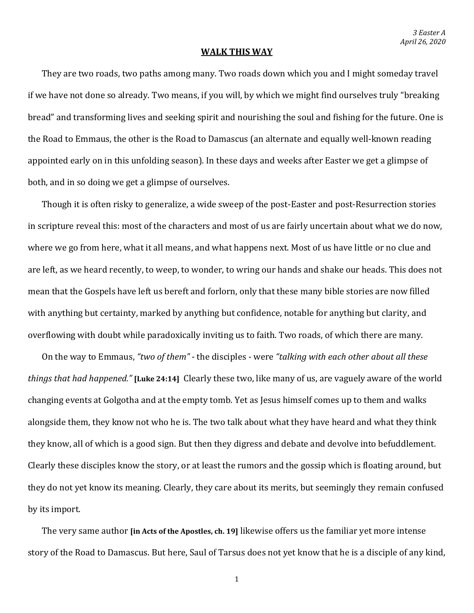## **WALK THIS WAY**

They are two roads, two paths among many. Two roads down which you and I might someday travel if we have not done so already. Two means, if you will, by which we might find ourselves truly "breaking bread" and transforming lives and seeking spirit and nourishing the soul and fishing for the future. One is the Road to Emmaus, the other is the Road to Damascus (an alternate and equally well-known reading appointed early on in this unfolding season). In these days and weeks after Easter we get a glimpse of both, and in so doing we get a glimpse of ourselves.

Though it is often risky to generalize, a wide sweep of the post-Easter and post-Resurrection stories in scripture reveal this: most of the characters and most of us are fairly uncertain about what we do now, where we go from here, what it all means, and what happens next. Most of us have little or no clue and are left, as we heard recently, to weep, to wonder, to wring our hands and shake our heads. This does not mean that the Gospels have left us bereft and forlorn, only that these many bible stories are now filled with anything but certainty, marked by anything but confidence, notable for anything but clarity, and overflowing with doubt while paradoxically inviting us to faith. Two roads, of which there are many.

On the way to Emmaus, *"two of them"* - the disciples - were *"talking with each other about all these things that had happened."* **[Luke 24:14]** Clearly these two, like many of us, are vaguely aware of the world changing events at Golgotha and at the empty tomb. Yet as Jesus himself comes up to them and walks alongside them, they know not who he is. The two talk about what they have heard and what they think they know, all of which is a good sign. But then they digress and debate and devolve into befuddlement. Clearly these disciples know the story, or at least the rumors and the gossip which is floating around, but they do not yet know its meaning. Clearly, they care about its merits, but seemingly they remain confused by its import.

The very same author **[in Acts of the Apostles, ch. 19]** likewise offers us the familiar yet more intense story of the Road to Damascus. But here, Saul of Tarsus does not yet know that he is a disciple of any kind,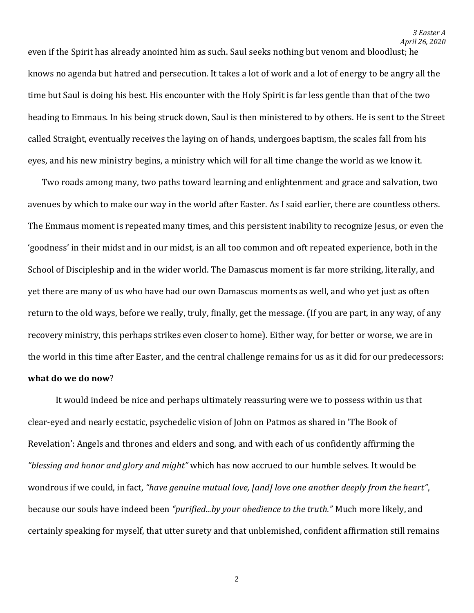even if the Spirit has already anointed him as such. Saul seeks nothing but venom and bloodlust; he knows no agenda but hatred and persecution. It takes a lot of work and a lot of energy to be angry all the time but Saul is doing his best. His encounter with the Holy Spirit is far less gentle than that of the two heading to Emmaus. In his being struck down, Saul is then ministered to by others. He is sent to the Street called Straight, eventually receives the laying on of hands, undergoes baptism, the scales fall from his eyes, and his new ministry begins, a ministry which will for all time change the world as we know it.

Two roads among many, two paths toward learning and enlightenment and grace and salvation, two avenues by which to make our way in the world after Easter. As I said earlier, there are countless others. The Emmaus moment is repeated many times, and this persistent inability to recognize Jesus, or even the 'goodness' in their midst and in our midst, is an all too common and oft repeated experience, both in the School of Discipleship and in the wider world. The Damascus moment is far more striking, literally, and yet there are many of us who have had our own Damascus moments as well, and who yet just as often return to the old ways, before we really, truly, finally, get the message. (If you are part, in any way, of any recovery ministry, this perhaps strikes even closer to home). Either way, for better or worse, we are in the world in this time after Easter, and the central challenge remains for us as it did for our predecessors: **what do we do now**?

It would indeed be nice and perhaps ultimately reassuring were we to possess within us that clear-eyed and nearly ecstatic, psychedelic vision of John on Patmos as shared in 'The Book of Revelation': Angels and thrones and elders and song, and with each of us confidently affirming the *"blessing and honor and glory and might"* which has now accrued to our humble selves. It would be wondrous if we could, in fact, *"have genuine mutual love, [and] love one another deeply from the heart"*, because our souls have indeed been *"purified...by your obedience to the truth."* Much more likely, and certainly speaking for myself, that utter surety and that unblemished, confident affirmation still remains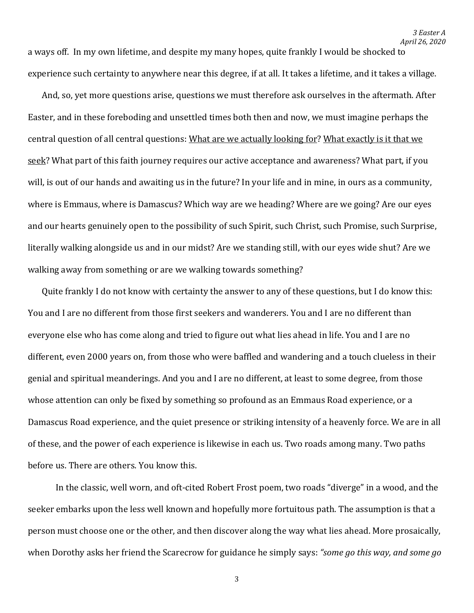a ways off. In my own lifetime, and despite my many hopes, quite frankly I would be shocked to experience such certainty to anywhere near this degree, if at all. It takes a lifetime, and it takes a village.

And, so, yet more questions arise, questions we must therefore ask ourselves in the aftermath. After Easter, and in these foreboding and unsettled times both then and now, we must imagine perhaps the central question of all central questions: What are we actually looking for? What exactly is it that we seek? What part of this faith journey requires our active acceptance and awareness? What part, if you will, is out of our hands and awaiting us in the future? In your life and in mine, in ours as a community, where is Emmaus, where is Damascus? Which way are we heading? Where are we going? Are our eyes and our hearts genuinely open to the possibility of such Spirit, such Christ, such Promise, such Surprise, literally walking alongside us and in our midst? Are we standing still, with our eyes wide shut? Are we walking away from something or are we walking towards something?

Quite frankly I do not know with certainty the answer to any of these questions, but I do know this: You and I are no different from those first seekers and wanderers. You and I are no different than everyone else who has come along and tried to figure out what lies ahead in life. You and I are no different, even 2000 years on, from those who were baffled and wandering and a touch clueless in their genial and spiritual meanderings. And you and I are no different, at least to some degree, from those whose attention can only be fixed by something so profound as an Emmaus Road experience, or a Damascus Road experience, and the quiet presence or striking intensity of a heavenly force. We are in all of these, and the power of each experience is likewise in each us. Two roads among many. Two paths before us. There are others. You know this.

In the classic, well worn, and oft-cited Robert Frost poem, two roads "diverge" in a wood, and the seeker embarks upon the less well known and hopefully more fortuitous path. The assumption is that a person must choose one or the other, and then discover along the way what lies ahead. More prosaically, when Dorothy asks her friend the Scarecrow for guidance he simply says: *"some go this way, and some go*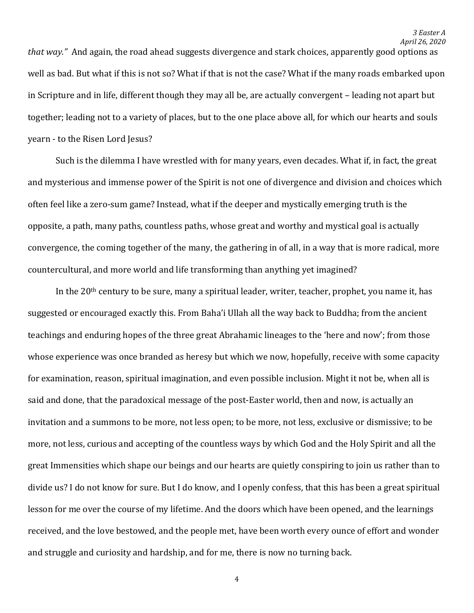*that way."* And again, the road ahead suggests divergence and stark choices, apparently good options as well as bad. But what if this is not so? What if that is not the case? What if the many roads embarked upon in Scripture and in life, different though they may all be, are actually convergent – leading not apart but together; leading not to a variety of places, but to the one place above all, for which our hearts and souls yearn - to the Risen Lord Jesus?

Such is the dilemma I have wrestled with for many years, even decades. What if, in fact, the great and mysterious and immense power of the Spirit is not one of divergence and division and choices which often feel like a zero-sum game? Instead, what if the deeper and mystically emerging truth is the opposite, a path, many paths, countless paths, whose great and worthy and mystical goal is actually convergence, the coming together of the many, the gathering in of all, in a way that is more radical, more countercultural, and more world and life transforming than anything yet imagined?

In the 20th century to be sure, many a spiritual leader, writer, teacher, prophet, you name it, has suggested or encouraged exactly this. From Baha'i Ullah all the way back to Buddha; from the ancient teachings and enduring hopes of the three great Abrahamic lineages to the 'here and now'; from those whose experience was once branded as heresy but which we now, hopefully, receive with some capacity for examination, reason, spiritual imagination, and even possible inclusion. Might it not be, when all is said and done, that the paradoxical message of the post-Easter world, then and now, is actually an invitation and a summons to be more, not less open; to be more, not less, exclusive or dismissive; to be more, not less, curious and accepting of the countless ways by which God and the Holy Spirit and all the great Immensities which shape our beings and our hearts are quietly conspiring to join us rather than to divide us? I do not know for sure. But I do know, and I openly confess, that this has been a great spiritual lesson for me over the course of my lifetime. And the doors which have been opened, and the learnings received, and the love bestowed, and the people met, have been worth every ounce of effort and wonder and struggle and curiosity and hardship, and for me, there is now no turning back.